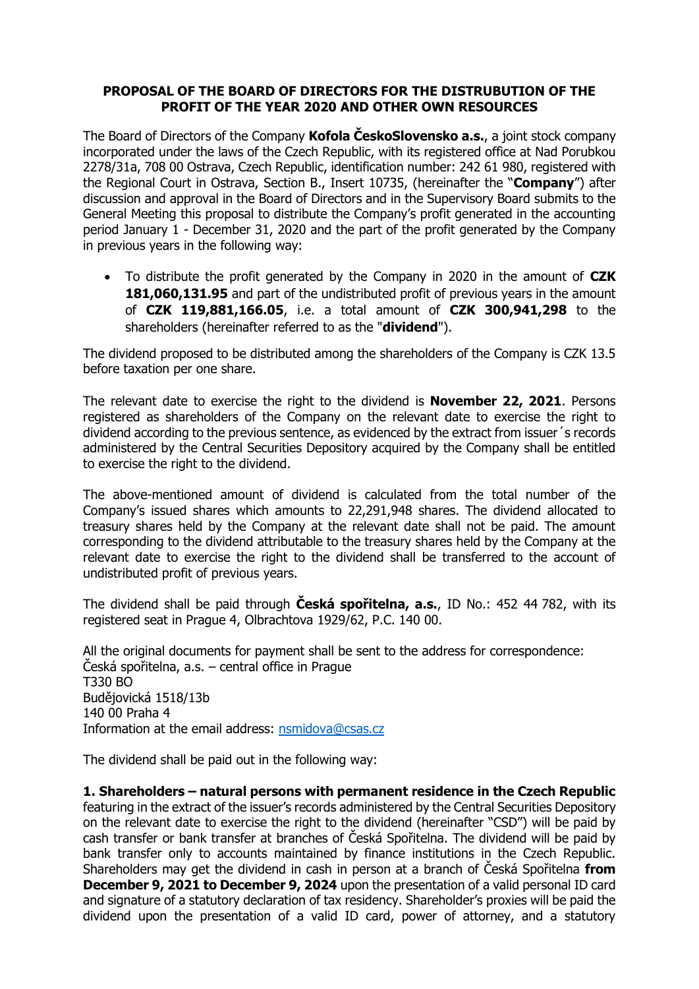## **PROPOSAL OF THE BOARD OF DIRECTORS FOR THE DISTRUBUTION OF THE PROFIT OF THE YEAR 2020 AND OTHER OWN RESOURCES**

The Board of Directors of the Company **Kofola ČeskoSlovensko a.s.**, a joint stock company incorporated under the laws of the Czech Republic, with its registered office at Nad Porubkou 2278/31a, 708 00 Ostrava, Czech Republic, identification number: 242 61 980, registered with the Regional Court in Ostrava, Section B., Insert 10735, (hereinafter the "**Company**") after discussion and approval in the Board of Directors and in the Supervisory Board submits to the General Meeting this proposal to distribute the Company's profit generated in the accounting period January 1 - December 31, 2020 and the part of the profit generated by the Company in previous years in the following way:

• To distribute the profit generated by the Company in 2020 in the amount of **CZK 181,060,131.95** and part of the undistributed profit of previous years in the amount of **CZK 119,881,166.05**, i.e. a total amount of **CZK 300,941,298** to the shareholders (hereinafter referred to as the "**dividend**").

The dividend proposed to be distributed among the shareholders of the Company is CZK 13.5 before taxation per one share.

The relevant date to exercise the right to the dividend is **November 22, 2021**. Persons registered as shareholders of the Company on the relevant date to exercise the right to dividend according to the previous sentence, as evidenced by the extract from issuer´s records administered by the Central Securities Depository acquired by the Company shall be entitled to exercise the right to the dividend.

The above-mentioned amount of dividend is calculated from the total number of the Company's issued shares which amounts to 22,291,948 shares. The dividend allocated to treasury shares held by the Company at the relevant date shall not be paid. The amount corresponding to the dividend attributable to the treasury shares held by the Company at the relevant date to exercise the right to the dividend shall be transferred to the account of undistributed profit of previous years.

The dividend shall be paid through **Česká spořitelna, a.s.**, ID No.: 452 44 782, with its registered seat in Prague 4, Olbrachtova 1929/62, P.C. 140 00.

All the original documents for payment shall be sent to the address for correspondence: Česká spořitelna, a.s. – central office in Prague T330 BO Budějovická 1518/13b 140 00 Praha 4 Information at the email address: [nsmidova@csas.cz](mailto:nsmidova@csas.cz)

The dividend shall be paid out in the following way:

**1. Shareholders – natural persons with permanent residence in the Czech Republic** featuring in the extract of the issuer's records administered by the Central Securities Depository on the relevant date to exercise the right to the dividend (hereinafter "CSD") will be paid by cash transfer or bank transfer at branches of Česká Spořitelna. The dividend will be paid by bank transfer only to accounts maintained by finance institutions in the Czech Republic. Shareholders may get the dividend in cash in person at a branch of Česká Spořitelna **from December 9, 2021 to December 9, 2024** upon the presentation of a valid personal ID card and signature of a statutory declaration of tax residency. Shareholder's proxies will be paid the dividend upon the presentation of a valid ID card, power of attorney, and a statutory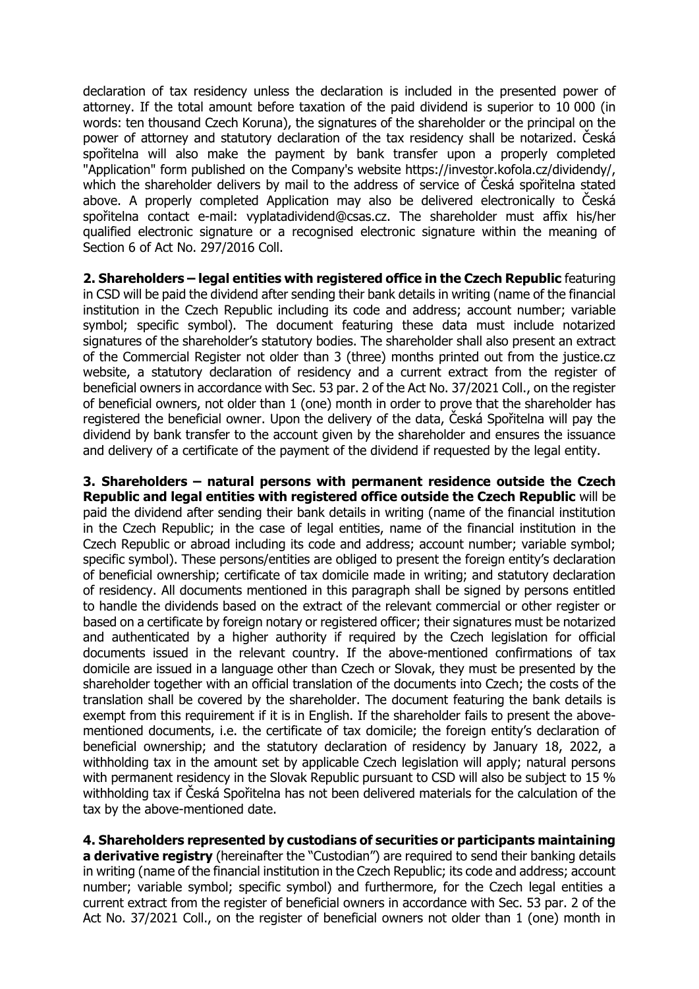declaration of tax residency unless the declaration is included in the presented power of attorney. If the total amount before taxation of the paid dividend is superior to 10 000 (in words: ten thousand Czech Koruna), the signatures of the shareholder or the principal on the power of attorney and statutory declaration of the tax residency shall be notarized. Česká spořitelna will also make the payment by bank transfer upon a properly completed "Application" form published on the Company's website https://investor.kofola.cz/dividendy/, which the shareholder delivers by mail to the address of service of Česká spořitelna stated above. A properly completed Application may also be delivered electronically to Česká spořitelna contact e-mail: vyplatadividend@csas.cz. The shareholder must affix his/her qualified electronic signature or a recognised electronic signature within the meaning of Section 6 of Act No. 297/2016 Coll.

**2. Shareholders – legal entities with registered office in the Czech Republic** featuring in CSD will be paid the dividend after sending their bank details in writing (name of the financial institution in the Czech Republic including its code and address; account number; variable symbol; specific symbol). The document featuring these data must include notarized signatures of the shareholder's statutory bodies. The shareholder shall also present an extract of the Commercial Register not older than 3 (three) months printed out from the justice.cz website, a statutory declaration of residency and a current extract from the register of beneficial owners in accordance with Sec. 53 par. 2 of the Act No. 37/2021 Coll., on the register of beneficial owners, not older than 1 (one) month in order to prove that the shareholder has registered the beneficial owner. Upon the delivery of the data, Česká Spořitelna will pay the dividend by bank transfer to the account given by the shareholder and ensures the issuance and delivery of a certificate of the payment of the dividend if requested by the legal entity.

**3. Shareholders – natural persons with permanent residence outside the Czech Republic and legal entities with registered office outside the Czech Republic** will be paid the dividend after sending their bank details in writing (name of the financial institution in the Czech Republic; in the case of legal entities, name of the financial institution in the Czech Republic or abroad including its code and address; account number; variable symbol; specific symbol). These persons/entities are obliged to present the foreign entity's declaration of beneficial ownership; certificate of tax domicile made in writing; and statutory declaration of residency. All documents mentioned in this paragraph shall be signed by persons entitled to handle the dividends based on the extract of the relevant commercial or other register or based on a certificate by foreign notary or registered officer; their signatures must be notarized and authenticated by a higher authority if required by the Czech legislation for official documents issued in the relevant country. If the above-mentioned confirmations of tax domicile are issued in a language other than Czech or Slovak, they must be presented by the shareholder together with an official translation of the documents into Czech; the costs of the translation shall be covered by the shareholder. The document featuring the bank details is exempt from this requirement if it is in English. If the shareholder fails to present the abovementioned documents, i.e. the certificate of tax domicile; the foreign entity's declaration of beneficial ownership; and the statutory declaration of residency by January 18, 2022, a withholding tax in the amount set by applicable Czech legislation will apply; natural persons with permanent residency in the Slovak Republic pursuant to CSD will also be subject to 15 % withholding tax if Česká Spořitelna has not been delivered materials for the calculation of the tax by the above-mentioned date.

**4. Shareholders represented by custodians of securities or participants maintaining a derivative registry** (hereinafter the "Custodian") are required to send their banking details in writing (name of the financial institution in the Czech Republic; its code and address; account number; variable symbol; specific symbol) and furthermore, for the Czech legal entities a current extract from the register of beneficial owners in accordance with Sec. 53 par. 2 of the Act No. 37/2021 Coll., on the register of beneficial owners not older than 1 (one) month in